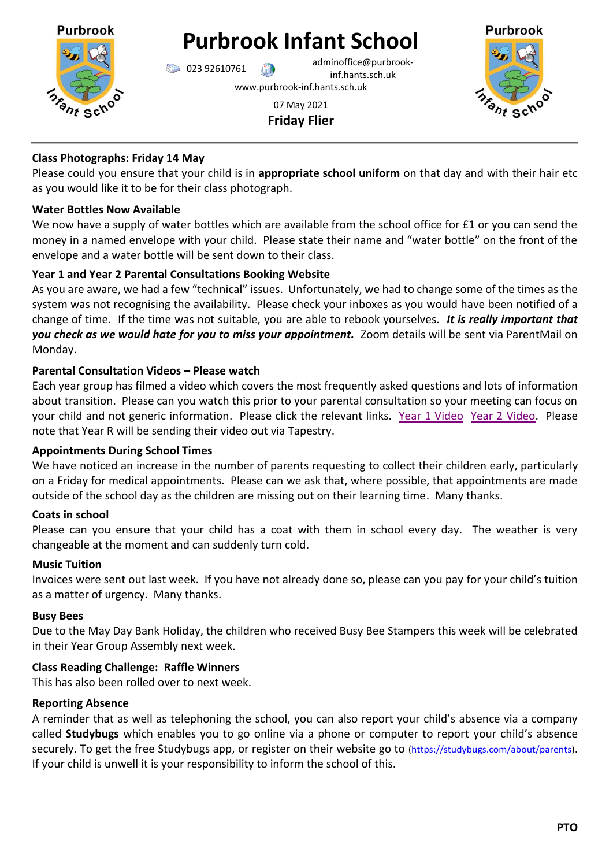

**Purbrook Infant School**

023 92610761 adminoffice@purbrookinf.hants.sch.uk www.purbrook-inf.hants.sch.uk



07 May 2021 **Friday Flier**

# **Class Photographs: Friday 14 May**

Please could you ensure that your child is in **appropriate school uniform** on that day and with their hair etc as you would like it to be for their class photograph.

### **Water Bottles Now Available**

We now have a supply of water bottles which are available from the school office for £1 or you can send the money in a named envelope with your child. Please state their name and "water bottle" on the front of the envelope and a water bottle will be sent down to their class.

## **Year 1 and Year 2 Parental Consultations Booking Website**

As you are aware, we had a few "technical" issues. Unfortunately, we had to change some of the times as the system was not recognising the availability. Please check your inboxes as you would have been notified of a change of time. If the time was not suitable, you are able to rebook yourselves. *It is really important that you check as we would hate for you to miss your appointment.* Zoom details will be sent via ParentMail on Monday.

## **Parental Consultation Videos – Please watch**

Each year group has filmed a video which covers the most frequently asked questions and lots of information about transition. Please can you watch this prior to your parental consultation so your meeting can focus on your child and not generic information. Please click the relevant links. [Year 1 Video](https://youtu.be/5WoNKCmdySQ) [Year 2 Video.](https://youtu.be/TxLMivpauc8) Please note that Year R will be sending their video out via Tapestry.

### **Appointments During School Times**

We have noticed an increase in the number of parents requesting to collect their children early, particularly on a Friday for medical appointments. Please can we ask that, where possible, that appointments are made outside of the school day as the children are missing out on their learning time. Many thanks.

### **Coats in school**

Please can you ensure that your child has a coat with them in school every day. The weather is very changeable at the moment and can suddenly turn cold.

### **Music Tuition**

Invoices were sent out last week. If you have not already done so, please can you pay for your child's tuition as a matter of urgency. Many thanks.

### **Busy Bees**

Due to the May Day Bank Holiday, the children who received Busy Bee Stampers this week will be celebrated in their Year Group Assembly next week.

### **Class Reading Challenge: Raffle Winners**

This has also been rolled over to next week.

### **Reporting Absence**

A reminder that as well as telephoning the school, you can also report your child's absence via a company called **Studybugs** which enables you to go online via a phone or computer to report your child's absence securely. To get the free Studybugs app, or register on their website go to [\(https://studybugs.com/about/parents\)](https://studybugs.com/about/parents). If your child is unwell it is your responsibility to inform the school of this.